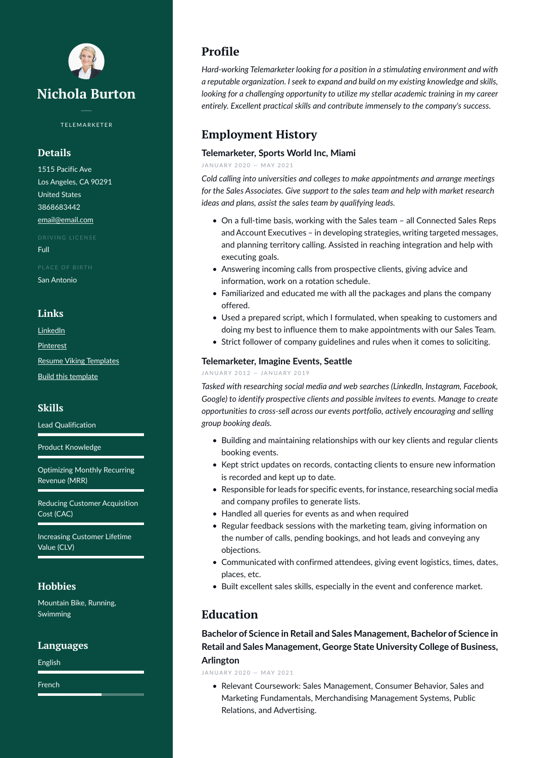

TELEMARKETER

### **Details**

1515 Pacific Ave Los Angeles, CA 90291 United States 3868683442 [email@email.com](mailto:email@email.com)

Full

San Antonio

#### **Links**

[LinkedIn](https://www.linkedin.com/)

**[Pinterest](https://www.pinterest.es/resumeviking/)** 

[Resume Viking Templates](https://www.resumeviking.com/templates/word/)

[Build this template](https://resume.io/?id=cpdokyF1)

#### **Skills**

Lead Qualification

Product Knowledge

Optimizing Monthly Recurring Revenue (MRR)

Reducing Customer Acquisition Cost (CAC)

Increasing Customer Lifetime Value (CLV)

### **Hobbies**

Mountain Bike, Running, Swimming

#### **Languages**

English

French

# **Profile**

*Hard-working Telemarketer looking for a position in a stimulating environment and with a reputable organization. I seek to expand and build on my existing knowledge and skills, looking for a challenging opportunity to utilize my stellar academic training in my career entirely. Excellent practical skills and contribute immensely to the company's success.*

# **Employment History**

#### **Telemarketer, Sports World Inc, Miami**

JANUARY 2020 - MAY 2021

*Cold calling into universities and colleges to make appointments and arrange meetings for the Sales Associates. Give support to the sales team and help with market research ideas and plans, assist the sales team by qualifying leads.*

- On a full-time basis, working with the Sales team all Connected Sales Reps and Account Executives – in developing strategies, writing targeted messages, and planning territory calling. Assisted in reaching integration and help with executing goals.
- Answering incoming calls from prospective clients, giving advice and information, work on a rotation schedule.
- Familiarized and educated me with all the packages and plans the company offered.
- Used a prepared script, which I formulated, when speaking to customers and doing my best to influence them to make appointments with our Sales Team.
- Strict follower of company guidelines and rules when it comes to soliciting.

#### **Telemarketer, Imagine Events, Seattle**

#### JANUARY 2012 - JANUARY 2019

*Tasked with researching social media and web searches (LinkedIn, Instagram, Facebook, Google) to identify prospective clients and possible invitees to events. Manage to create opportunities to cross-sell across our events portfolio, actively encouraging and selling group booking deals.*

- Building and maintaining relationships with our key clients and regular clients booking events.
- Kept strict updates on records, contacting clients to ensure new information is recorded and kept up to date.
- Responsible for leads for specific events, for instance, researching social media and company profiles to generate lists.
- Handled all queries for events as and when required
- Regular feedback sessions with the marketing team, giving information on the number of calls, pending bookings, and hot leads and conveying any objections.
- Communicated with confirmed attendees, giving event logistics, times, dates, places, etc.
- Built excellent sales skills, especially in the event and conference market.

### **Education**

**Bachelor of Science in Retail and Sales Management, Bachelor of Science in Retail and Sales Management, George State University College of Business, Arlington**

JANUARY 2020 - MAY 2021

• Relevant Coursework: Sales Management, Consumer Behavior, Sales and Marketing Fundamentals, Merchandising Management Systems, Public Relations, and Advertising.